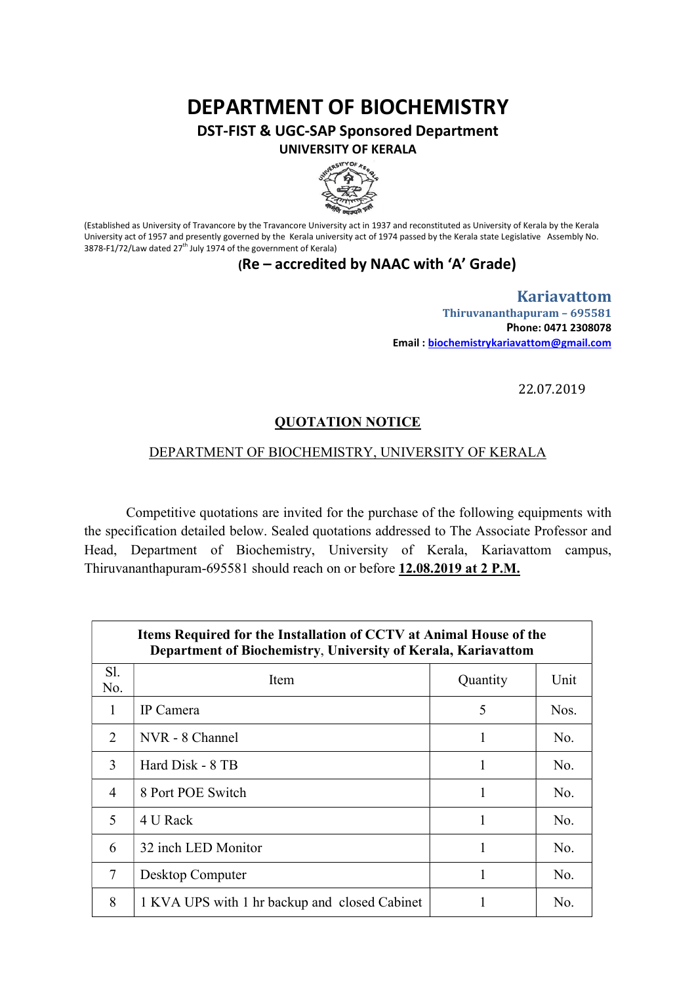# DEPARTMENT OF BIOCHEMISTRY

DST-FIST & UGC-SAP Sponsored Department UNIVERSITY OF KERALA



(Established as University of Travancore by the Travancore University act in 1937 and reconstituted as University of Kerala by the Kerala University act of 1957 and presently governed by the Kerala university act of 1974 passed by the Kerala state Legislative Assembly No. 3878-F1/72/Law dated  $27<sup>th</sup>$  July 1974 of the government of Kerala)

### (Re – accredited by NAAC with 'A' Grade)

Kariavattom Thiruvananthapuram – 695581 Phone: 0471 2308078 Email : biochemistrykariavattom@gmail.com

22.07.2019

#### QUOTATION NOTICE

#### DEPARTMENT OF BIOCHEMISTRY, UNIVERSITY OF KERALA

Competitive quotations are invited for the purchase of the following equipments with the specification detailed below. Sealed quotations addressed to The Associate Professor and Head, Department of Biochemistry, University of Kerala, Kariavattom campus, Thiruvananthapuram-695581 should reach on or before 12.08.2019 at 2 P.M.

| Items Required for the Installation of CCTV at Animal House of the<br>Department of Biochemistry, University of Kerala, Kariavattom |                                               |          |      |  |
|-------------------------------------------------------------------------------------------------------------------------------------|-----------------------------------------------|----------|------|--|
| S1.<br>No.                                                                                                                          | Item                                          | Quantity | Unit |  |
| 1                                                                                                                                   | IP Camera                                     | 5        | Nos. |  |
| $\overline{2}$                                                                                                                      | NVR - 8 Channel                               | 1        | No.  |  |
| 3                                                                                                                                   | Hard Disk - 8 TB                              | 1        | No.  |  |
| 4                                                                                                                                   | 8 Port POE Switch                             | 1        | No.  |  |
| 5                                                                                                                                   | 4 U Rack                                      |          | No.  |  |
| 6                                                                                                                                   | 32 inch LED Monitor                           | 1        | No.  |  |
| 7                                                                                                                                   | Desktop Computer                              | 1        | No.  |  |
| 8                                                                                                                                   | 1 KVA UPS with 1 hr backup and closed Cabinet |          | No.  |  |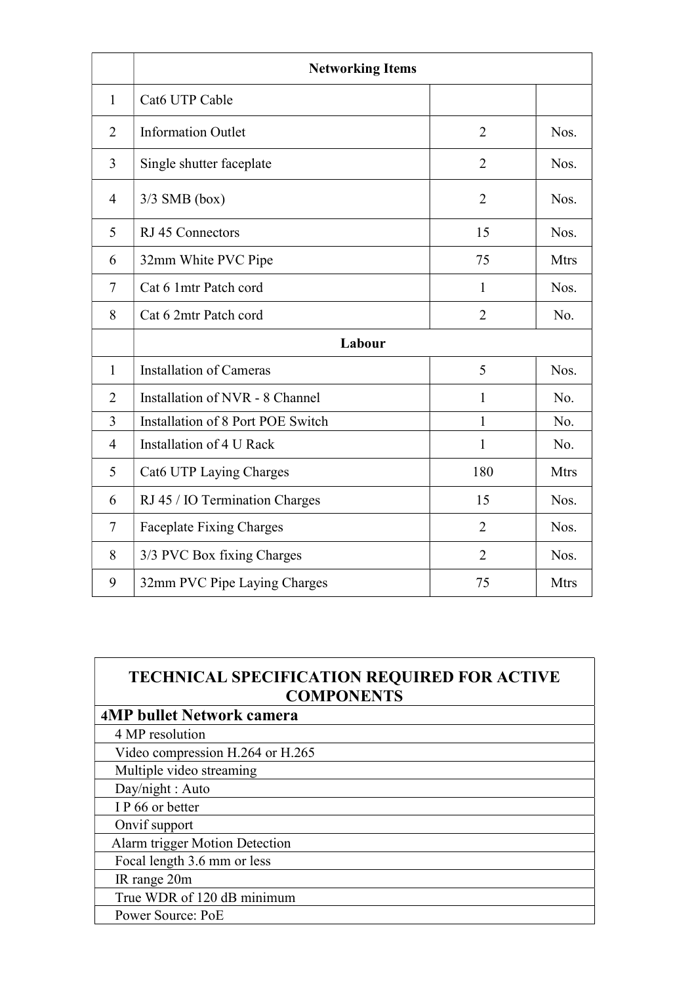|                | <b>Networking Items</b>           |                |             |
|----------------|-----------------------------------|----------------|-------------|
| $\mathbf{1}$   | Cat6 UTP Cable                    |                |             |
| $\overline{2}$ | <b>Information Outlet</b>         | $\overline{2}$ | Nos.        |
| 3              | Single shutter faceplate          | $\overline{2}$ | Nos.        |
| $\overline{4}$ | $3/3$ SMB (box)                   | $\overline{2}$ | Nos.        |
| 5              | RJ 45 Connectors                  | 15             | Nos.        |
| 6              | 32mm White PVC Pipe               | 75             | <b>Mtrs</b> |
| $\tau$         | Cat 6 1mtr Patch cord             | $\mathbf{1}$   | Nos.        |
| 8              | Cat 6 2mtr Patch cord             | $\overline{2}$ | No.         |
|                | Labour                            |                |             |
| $\mathbf{1}$   | <b>Installation of Cameras</b>    | 5              | Nos.        |
| $\overline{2}$ | Installation of NVR - 8 Channel   | 1              | No.         |
| 3              | Installation of 8 Port POE Switch | 1              | No.         |
| $\overline{4}$ | Installation of 4 U Rack          | 1              | No.         |
| 5              | Cat6 UTP Laying Charges           | 180            | <b>Mtrs</b> |
| 6              | RJ 45 / IO Termination Charges    | 15             | Nos.        |
| $\tau$         | <b>Faceplate Fixing Charges</b>   | $\overline{2}$ | Nos.        |
| 8              | 3/3 PVC Box fixing Charges        | $\overline{2}$ | Nos.        |
| 9              | 32mm PVC Pipe Laying Charges      | 75             | <b>Mtrs</b> |

## TECHNICAL SPECIFICATION REQUIRED FOR ACTIVE **COMPONENTS**

| <b>4MP bullet Network camera</b> |  |
|----------------------------------|--|
| 4 MP resolution                  |  |
| Video compression H.264 or H.265 |  |
| Multiple video streaming         |  |
| Day/night : Auto                 |  |
| IP 66 or better                  |  |
| Onvif support                    |  |
| Alarm trigger Motion Detection   |  |
| Focal length 3.6 mm or less      |  |
| IR range 20m                     |  |
| True WDR of 120 dB minimum       |  |
| Power Source: PoE                |  |